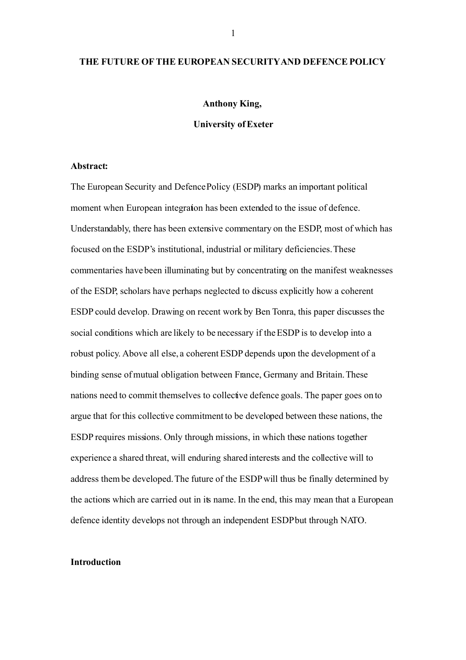### **THE FUTURE OFTHE EUROPEAN SECURITYAND DEFENCE POLICY**

### **Anthony King,**

**University of Exeter**

#### **Abstract:**

The European Security and Defence Policy (ESDP) marks an important political moment when European integration has been extended to the issue of defence. Understandably, there has been extensive commentary on the ESDP, most of which has focused on the ESDP's institutional, industrial or military deficiencies. These commentaries have been illuminating but by concentrating on the manifest weaknesses of the ESDP, scholars have perhaps neglected to discuss explicitly how a coherent ESDP could develop. Drawing on recent work by Ben Tonra, this paper discusses the social conditions which are likely to be necessary if the ESDP is to develop into a robust policy. Above all else, a coherent ESDP depends upon the development of a binding sense of mutual obligation between France, Germany and Britain. These nations need to commit themselves to collective defence goals. The paper goes on to argue that for this collective commitment to be developed between these nations, the ESDP requires missions. Only through missions, in which these nations together experience a shared threat, will enduring shared interests and the collective will to address them be developed. The future of the ESDP will thus be finally determined by the actions which are carried out in its name. In the end, this may mean that a European defence identity develops not through an independent ESDPbut through NATO.

## **Introduction**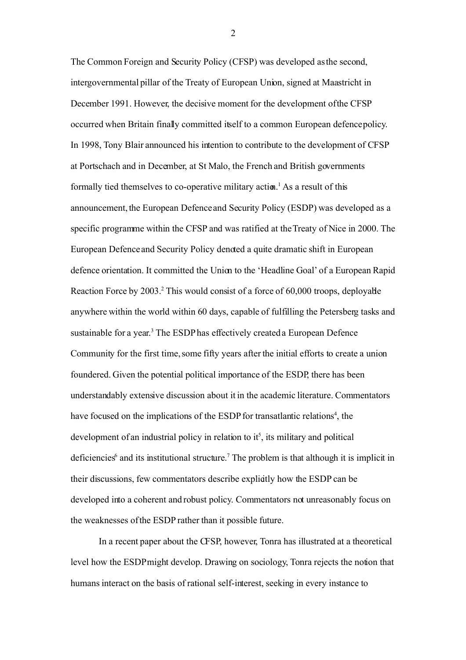The Common Foreign and Security Policy (CFSP) was developed as the second, intergovernmental pillar of the Treaty of European Union, signed at Maastricht in December 1991. However, the decisive moment for the development of the CFSP occurred when Britain finally committed itself to a common European defence policy. In 1998, Tony Blair announced his intention to contribute to the development of CFSP at Portschach and in December, at St Malo, the French and British governments formally tied themselves to co-operative military action.<sup>[1](#page-21-0)</sup> As a result of this announcement, the European Defence and Security Policy (ESDP) was developed as a specific programme within the CFSP and was ratified at the Treaty of Nice in 2000. The European Defence and Security Policy denoted a quite dramatic shift in European defence orientation. It committed the Union to the 'Headline Goal' of a European Rapid Reaction Force by [2](#page-21-1)003.<sup>2</sup> This would consist of a force of 60,000 troops, deployable anywhere within the world within 60 days, capable of fulfilling the Petersberg tasks and sustainable for a year.<sup>[3](#page-21-2)</sup> The ESDP has effectively created a European Defence Community for the first time, some fifty years after the initial efforts to create a union foundered. Given the potential political importance of the ESDP, there has been understandably extensive discussion about it in the academic literature. Commentators have focused on the implications of the ESDP for transatlantic relations<sup>[4](#page-21-3)</sup>, the development of an industrial policy in relation to it<sup>[5](#page-21-4)</sup>, its military and political deficiencies<sup>[6](#page-22-0)</sup> and its institutional structure.<sup>[7](#page-22-1)</sup> The problem is that although it is implicit in their discussions, few commentators describe explicitly how the ESDP can be developed into a coherent and robust policy. Commentators not unreasonably focus on the weaknesses of the ESDP rather than it possible future.

In a recent paper about the CFSP, however, Tonra has illustrated at a theoretical level how the ESDPmight develop. Drawing on sociology, Tonra rejects the notion that humans interact on the basis of rational self-interest, seeking in every instance to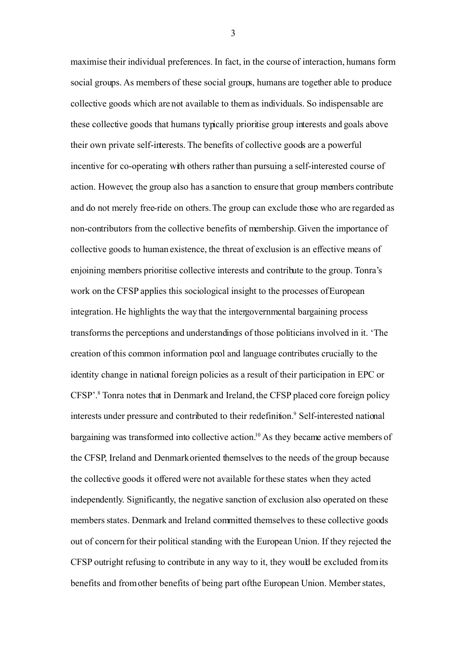maximise their individual preferences. In fact, in the course of interaction, humans form social groups. As members of these social groups, humans are together able to produce collective goods which are not available to them as individuals. So indispensable are these collective goods that humans typically prioritise group interests and goals above their own private self-interests. The benefits of collective goods are a powerful incentive for co-operating with others rather than pursuing a self-interested course of action. However, the group also has a sanction to ensure that group members contribute and do not merely free-ride on others. The group can exclude those who are regarded as non-contributors from the collective benefits of membership. Given the importance of collective goods to human existence, the threat of exclusion is an effective means of enjoining members prioritise collective interests and contribute to the group. Tonra's work on the CFSP applies this sociological insight to the processes of European integration. He highlights the way that the intergovernmental bargaining process transforms the perceptions and understandings of those politicians involved in it. 'The creation of this common information pool and language contributes crucially to the identity change in national foreign policies as a result of their participation in EPC or CFSP'. [8](#page-22-2) Tonra notes that in Denmark and Ireland, the CFSP placed core foreign policy interests under pressure and contributed to their redefinition.<sup>9</sup> Self-interested national bargaining was transformed into collective action.[10](#page-23-0) As they became active members of the CFSP, Ireland and Denmark oriented themselves to the needs of the group because the collective goods it offered were not available for these states when they acted independently. Significantly, the negative sanction of exclusion also operated on these members states. Denmark and Ireland committed themselves to these collective goods out of concern for their political standing with the European Union. If they rejected the CFSP outright refusing to contribute in any way to it, they would be excluded from its benefits and from other benefits of being part of the European Union. Member states,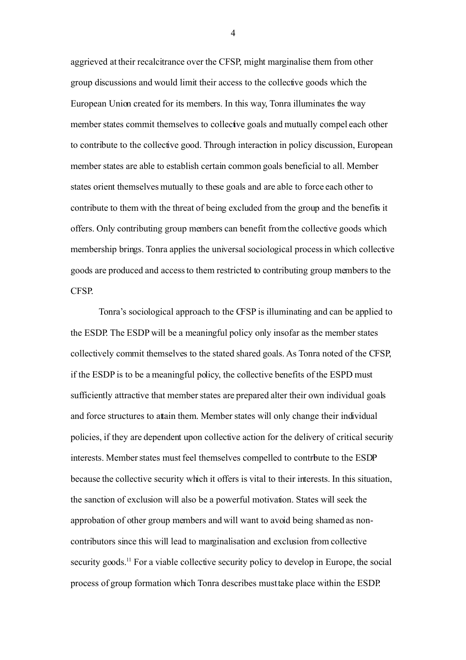aggrieved at their recalcitrance over the CFSP, might marginalise them from other group discussions and would limit their access to the collective goods which the European Union created for its members. In this way, Tonra illuminates the way member states commit themselves to collective goals and mutually compel each other to contribute to the collective good. Through interaction in policy discussion, European member states are able to establish certain common goals beneficial to all. Member states orient themselves mutually to these goals and are able to force each other to contribute to them with the threat of being excluded from the group and the benefits it offers. Only contributing group members can benefit from the collective goods which membership brings. Tonra applies the universal sociological process in which collective goods are produced and access to them restricted to contributing group members to the CFSP.

Tonra's sociological approach to the CFSP is illuminating and can be applied to the ESDP. The ESDP will be a meaningful policy only insofar as the member states collectively commit themselves to the stated shared goals. As Tonra noted of the CFSP, if the ESDP is to be a meaningful policy, the collective benefits of the ESPD must sufficiently attractive that member states are prepared alter their own individual goals and force structures to attain them. Member states will only change their individual policies, if they are dependent upon collective action for the delivery of critical security interests. Member states must feel themselves compelled to contrbute to the ESDP because the collective security which it offers is vital to their interests. In this situation, the sanction of exclusion will also be a powerful motivation. States will seek the approbation of other group members and will want to avoid being shamed as noncontributors since this will lead to marginalisation and exclusion from collective security goods.<sup>[11](#page-23-1)</sup> For a viable collective security policy to develop in Europe, the social process of group formation which Tonra describes must take place within the ESDP.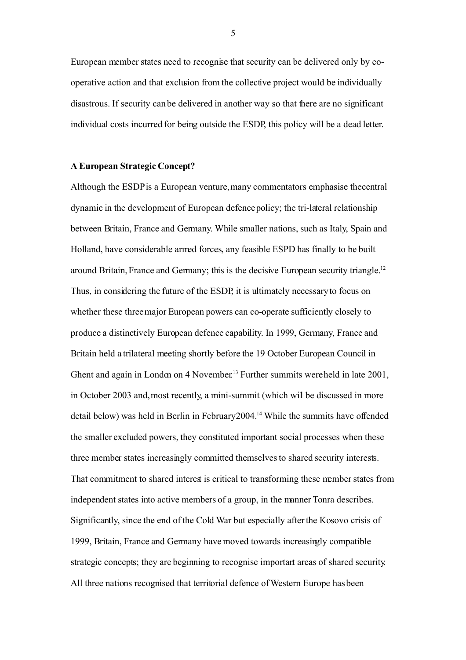European member states need to recognise that security can be delivered only by cooperative action and that exclusion from the collective project would be individually disastrous. If security can be delivered in another way so that there are no significant individual costs incurred for being outside the ESDP, this policy will be a dead letter.

### **A European Strategic Concept?**

Although the ESDP is a European venture, many commentators emphasise the central dynamic in the development of European defence policy; the tri-lateral relationship between Britain, France and Germany. While smaller nations, such as Italy, Spain and Holland, have considerable armed forces, any feasible ESPD has finally to be built around Britain, France and Germany; this is the decisive European security triangle.[12](#page-23-2) Thus, in considering the future of the ESDP, it is ultimately necessary to focus on whether these three major European powers can co-operate sufficiently closely to produce a distinctively European defence capability. In 1999, Germany, France and Britain held a trilateral meeting shortly before the 19 October European Council in Ghent and again in London on 4 November.<sup>[13](#page-23-3)</sup> Further summits were held in late 2001, in October 2003 and, most recently, a mini-summit (which will be discussed in more detail below) was held in Berlin in February 2004.[14](#page-23-4) While the summits have offended the smaller excluded powers, they constituted important social processes when these three member states increasingly committed themselves to shared security interests. That commitment to shared interest is critical to transforming these member states from independent states into active members of a group, in the manner Tonra describes. Significantly, since the end of the Cold War but especially after the Kosovo crisis of 1999, Britain, France and Germany have moved towards increasingly compatible strategic concepts; they are beginning to recognise important areas of shared security. All three nations recognised that territorial defence of Western Europe has been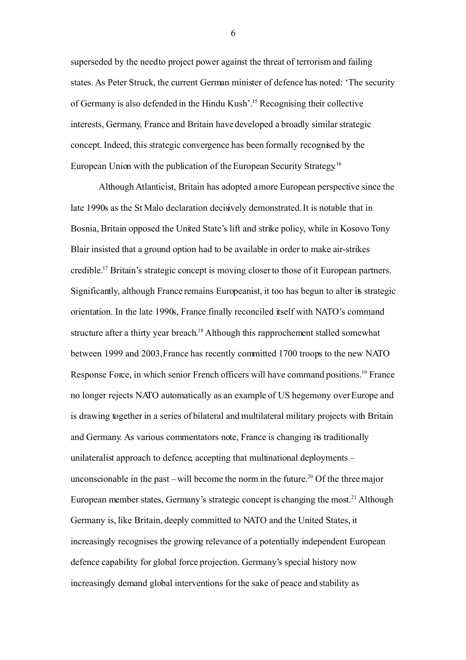superseded by the need to project power against the threat of terrorism and failing states. As Peter Struck, the current German minister of defence has noted: 'The security of Germany is also defended in the Hindu Kush'.[15](#page-23-5) Recognising their collective interests, Germany, France and Britain have developed a broadly similar strategic concept. Indeed, this strategic convergence has been formally recognised by the European Union with the publication of the European Security Strategy.<sup>[16](#page-23-6)</sup>

Although Atlanticist, Britain has adopted a more European perspective since the late 1990s as the St Malo declaration decisively demonstrated. It is notable that in Bosnia, Britain opposed the United State's lift and strike policy, while in Kosovo Tony Blair insisted that a ground option had to be available in order to make air-strikes credible.[17](#page-24-0) Britain's strategic concept is moving closer to those of it European partners. Significantly, although France remains Europeanist, it too has begun to alter its strategic orientation. In the late 1990s, France finally reconciled itself with NATO's command structure after a thirty year breach.<sup>[18](#page-24-1)</sup> Although this rapprochement stalled somewhat between 1999 and 2003, France has recently committed 1700 troops to the new NATO Response Force, in which senior French officers will have command positions.<sup>[19](#page-24-2)</sup> France no longer rejects NATO automatically as an example of US hegemony over Europe and is drawing together in a series of bilateral and multilateral military projects with Britain and Germany. As various commentators note, France is changing its traditionally unilateralist approach to defence, accepting that multinational deployments – unconscionable in the past – will become the norm in the future.<sup>[20](#page-24-3)</sup> Of the three major European member states, Germany's strategic concept is changing the most.<sup>[21](#page-25-0)</sup> Although Germany is, like Britain, deeply committed to NATO and the United States, it increasingly recognises the growing relevance of a potentially independent European defence capability for global force projection. Germany's special history now increasingly demand global interventions for the sake of peace and stability as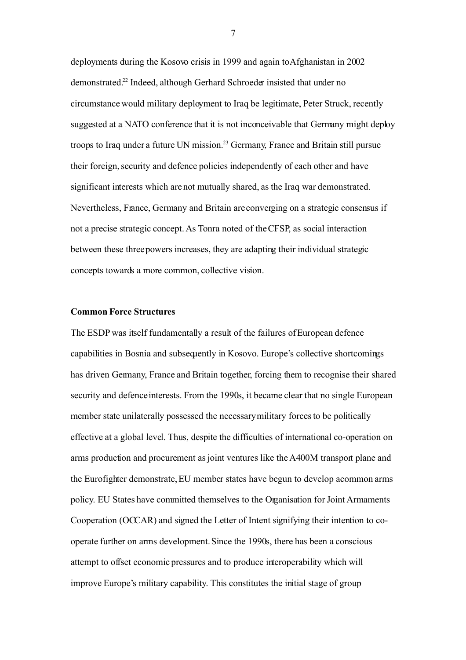deployments during the Kosovo crisis in 1999 and again to Afghanistan in 2002 demonstrated.[22](#page-25-1) Indeed, although Gerhard Schroeder insisted that under no circumstance would military deployment to Iraq be legitimate, Peter Struck, recently suggested at a NATO conference that it is not inconceivable that Germany might deploy troops to Iraq under a future UN mission.[23](#page-25-2) Germany, France and Britain still pursue their foreign, security and defence policies independently of each other and have significant interests which are not mutually shared, as the Iraq war demonstrated. Nevertheless, France, Germany and Britain are converging on a strategic consensus if not a precise strategic concept. As Tonra noted of the CFSP, as social interaction between these three powers increases, they are adapting their individual strategic concepts towards a more common, collective vision.

### **Common Force Structures**

The ESDP was itself fundamentally a result of the failures of European defence capabilities in Bosnia and subsequently in Kosovo. Europe's collective shortcomings has driven Germany, France and Britain together, forcing them to recognise their shared security and defence interests. From the 1990s, it became clear that no single European member state unilaterally possessed the necessary military forces to be politically effective at a global level. Thus, despite the difficulties of international co-operation on arms production and procurement as joint ventures like the A400M transport plane and the Eurofighter demonstrate, EU member states have begun to develop acommon arms policy. EU States have committed themselves to the Organisation for Joint Armaments Cooperation (OCCAR) and signed the Letter of Intent signifying their intention to cooperate further on arms development. Since the 1990s, there has been a conscious attempt to offset economic pressures and to produce interoperability which will improve Europe's military capability. This constitutes the initial stage of group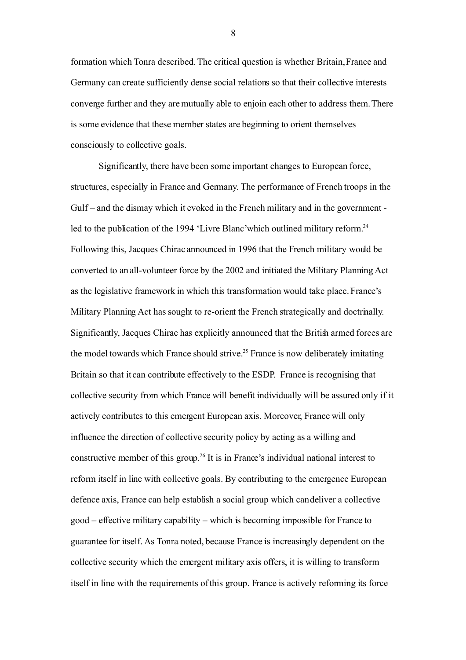formation which Tonra described. The critical question is whether Britain, France and Germany can create sufficiently dense social relations so that their collective interests converge further and they are mutually able to enjoin each other to address them.There is some evidence that these member states are beginning to orient themselves consciously to collective goals.

Significantly, there have been some important changes to European force, structures, especially in France and Germany. The performance of French troops in the Gulf – and the dismay which it evoked in the French military and in the government - led to the publication of the 1994 'Livre Blanc' which outlined military reform.<sup>[24](#page-25-3)</sup> Following this, Jacques Chirac announced in 1996 that the French military would be converted to an all-volunteer force by the 2002 and initiated the Military Planning Act as the legislative framework in which this transformation would take place. France's Military Planning Act has sought to re-orient the French strategically and doctrinally. Significantly, Jacques Chirac has explicitly announced that the British armed forces are the model towards which France should strive.<sup>[25](#page-25-4)</sup> France is now deliberately imitating Britain so that it can contribute effectively to the ESDP. France is recognising that collective security from which France will benefit individually will be assured only if it actively contributes to this emergent European axis. Moreover, France will only influence the direction of collective security policy by acting as a willing and constructive member of this group.<sup>[26](#page-25-5)</sup> It is in France's individual national interest to reform itself in line with collective goals. By contributing to the emergence European defence axis, France can help establish a social group which can deliver a collective good – effective military capability – which is becoming impossible for France to guarantee for itself. As Tonra noted, because France is increasingly dependent on the collective security which the emergent military axis offers, it is willing to transform itself in line with the requirements of this group. France is actively reforming its force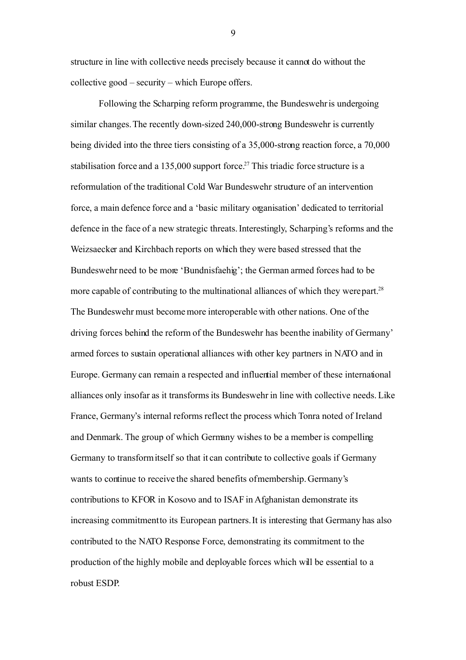structure in line with collective needs precisely because it cannot do without the collective good – security – which Europe offers.

Following the Scharping reform programme, the Bundeswehr is undergoing similar changes. The recently down-sized 240,000-strong Bundeswehr is currently being divided into the three tiers consisting of a 35,000-strong reaction force, a 70,000 stabilisation force and a 135,000 support force.<sup>[27](#page-25-6)</sup> This triadic force structure is a reformulation of the traditional Cold War Bundeswehr structure of an intervention force, a main defence force and a 'basic military organisation' dedicated to territorial defence in the face of a new strategic threats. Interestingly, Scharping's reforms and the Weizsaecker and Kirchbach reports on which they were based stressed that the Bundeswehr need to be more 'Bundnisfaehig'; the German armed forces had to be more capable of contributing to the multinational alliances of which they were part.<sup>[28](#page-25-7)</sup> The Bundeswehr must become more interoperable with other nations. One of the driving forces behind the reform of the Bundeswehr has been the inability of Germany' armed forces to sustain operational alliances with other key partners in NATO and in Europe. Germany can remain a respected and influential member of these international alliances only insofar as it transforms its Bundeswehr in line with collective needs. Like France, Germany's internal reforms reflect the process which Tonra noted of Ireland and Denmark. The group of which Germany wishes to be a member is compelling Germany to transform itself so that it can contribute to collective goals if Germany wants to continue to receive the shared benefits of membership. Germany's contributions to KFOR in Kosovo and to ISAF in Afghanistan demonstrate its increasing commitment to its European partners. It is interesting that Germany has also contributed to the NATO Response Force, demonstrating its commitment to the production of the highly mobile and deployable forces which will be essential to a robust ESDP.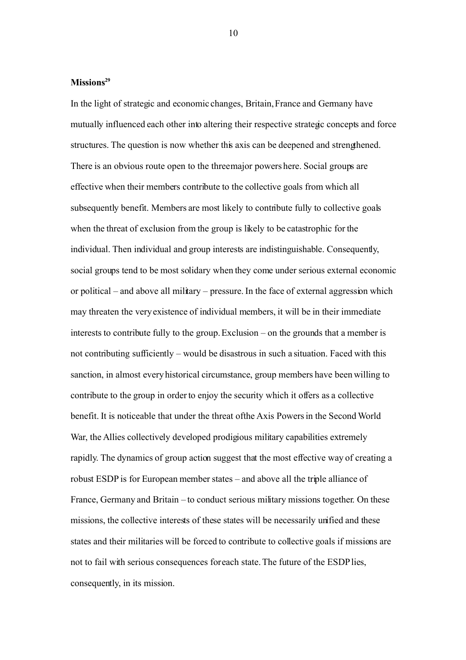# **Missions[29](#page-26-0)**

In the light of strategic and economic changes, Britain, France and Germany have mutually influenced each other into altering their respective strategic concepts and force structures. The question is now whether this axis can be deepened and strengthened. There is an obvious route open to the three major powers here. Social groups are effective when their members contribute to the collective goals from which all subsequently benefit. Members are most likely to contribute fully to collective goals when the threat of exclusion from the group is likely to be catastrophic for the individual. Then individual and group interests are indistinguishable. Consequently, social groups tend to be most solidary when they come under serious external economic or political – and above all military – pressure. In the face of external aggression which may threaten the very existence of individual members, it will be in their immediate interests to contribute fully to the group. Exclusion – on the grounds that a member is not contributing sufficiently – would be disastrous in such a situation. Faced with this sanction, in almost every historical circumstance, group members have been willing to contribute to the group in order to enjoy the security which it offers as a collective benefit. It is noticeable that under the threat of the Axis Powers in the Second World War, the Allies collectively developed prodigious military capabilities extremely rapidly. The dynamics of group action suggest that the most effective way of creating a robust ESDP is for European member states – and above all the triple alliance of France, Germany and Britain – to conduct serious military missions together. On these missions, the collective interests of these states will be necessarily unified and these states and their militaries will be forced to contribute to collective goals if missions are not to fail with serious consequences for each state. The future of the ESDP lies, consequently, in its mission.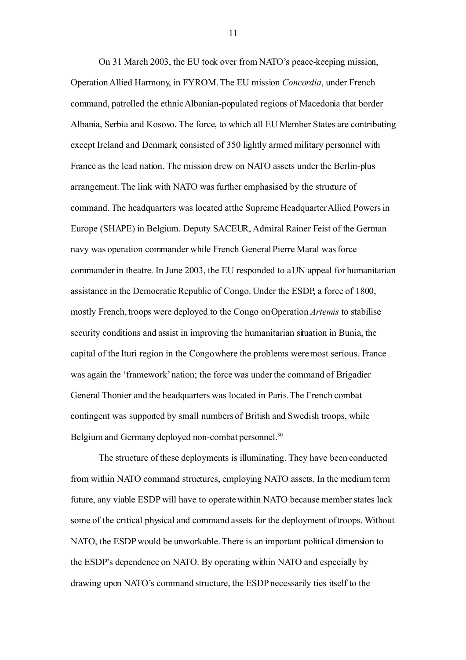On 31 March 2003, the EU took over from NATO's peace-keeping mission, Operation Allied Harmony, in FYROM. The EU mission *Concordia*, under French command, patrolled the ethnic Albanian-populated regions of Macedonia that border Albania, Serbia and Kosovo. The force, to which all EU Member States are contributing except Ireland and Denmark, consisted of 350 lightly armed military personnel with France as the lead nation. The mission drew on NATO assets under the Berlin-plus arrangement. The link with NATO was further emphasised by the structure of command. The headquarters was located at the Supreme Headquarter Allied Powers in Europe (SHAPE) in Belgium. Deputy SACEUR, Admiral Rainer Feist of the German navy was operation commander while French General Pierre Maral was force commander in theatre. In June 2003, the EU responded to a UN appeal for humanitarian assistance in the Democratic Republic of Congo. Under the ESDP, a force of 1800, mostly French, troops were deployed to the Congo on Operation *Artemis* to stabilise security conditions and assist in improving the humanitarian situation in Bunia, the capital of the Ituri region in the Congo where the problems were most serious. France was again the 'framework' nation; the force was under the command of Brigadier General Thonier and the headquarters was located in Paris.The French combat contingent was supported by small numbers of British and Swedish troops, while Belgium and Germany deployed non-combat personnel.<sup>[30](#page-26-1)</sup>

The structure of these deployments is illuminating. They have been conducted from within NATO command structures, employing NATO assets. In the medium term future, any viable ESDP will have to operate within NATO because member states lack some of the critical physical and command assets for the deployment of troops. Without NATO, the ESDPwould be unworkable. There is an important political dimension to the ESDP's dependence on NATO. By operating within NATO and especially by drawing upon NATO's command structure, the ESDPnecessarily ties itself to the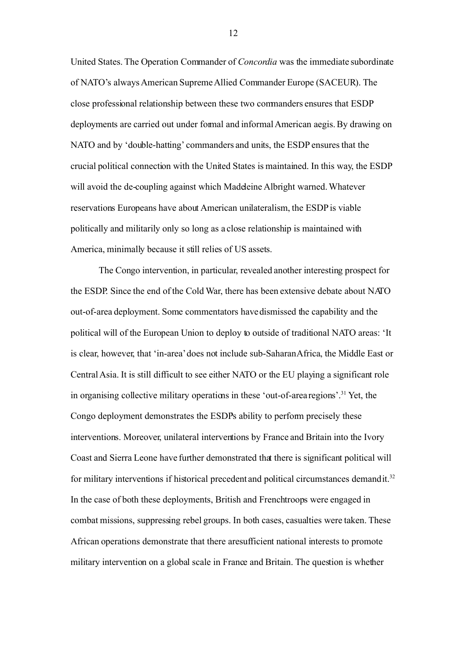United States. The Operation Commander of *Concordia* was the immediate subordinate of NATO's always American SupremeAllied Commander Europe (SACEUR). The close professional relationship between these two commanders ensures that ESDP deployments are carried out under formal and informalAmerican aegis. By drawing on NATO and by 'double-hatting' commanders and units, the ESDP ensures that the crucial political connection with the United States is maintained. In this way, the ESDP will avoid the de-coupling against which Madeleine Albright warned. Whatever reservations Europeans have about American unilateralism, the ESDPis viable politically and militarily only so long as a close relationship is maintained with America, minimally because it still relies of US assets.

The Congo intervention, in particular, revealed another interesting prospect for the ESDP. Since the end of the Cold War, there has been extensive debate about NATO out-of-area deployment. Some commentators have dismissed the capability and the political will of the European Union to deploy to outside of traditional NATO areas: 'It is clear, however, that 'in-area' does not include sub-SaharanAfrica, the Middle East or Central Asia. It is still difficult to see either NATO or the EU playing a significant role in organising collective military operations in these 'out-of-area regions'.<sup>[31](#page-26-2)</sup> Yet, the Congo deployment demonstrates the ESDPs ability to perform precisely these interventions. Moreover, unilateral interventions by France and Britain into the Ivory Coast and Sierra Leone have further demonstrated that there is significant political will for military interventions if historical precedent and political circumstances demand it.<sup>[32](#page-26-3)</sup> In the case of both these deployments, British and French troops were engaged in combat missions, suppressing rebel groups. In both cases, casualties were taken. These African operations demonstrate that there are sufficient national interests to promote military intervention on a global scale in France and Britain. The question is whether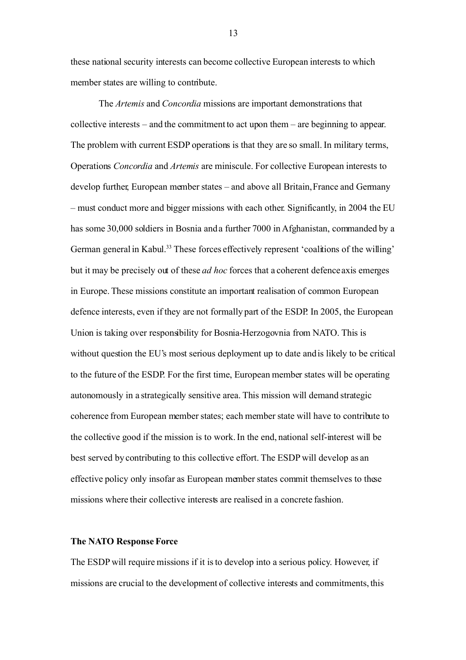these national security interests can become collective European interests to which member states are willing to contribute.

The *Artemis* and *Concordia* missions are important demonstrations that collective interests – and the commitment to act upon them – are beginning to appear. The problem with current ESDP operations is that they are so small. In military terms, Operations *Concordia* and *Artemis* are miniscule. For collective European interests to develop further, European member states – and above all Britain, France and Germany – must conduct more and bigger missions with each other. Significantly, in 2004 the EU has some 30,000 soldiers in Bosnia and a further 7000 in Afghanistan, commanded by a German general in Kabul.<sup>[33](#page-26-4)</sup> These forces effectively represent 'coalitions of the willing' but it may be precisely out of these *ad hoc* forces that a coherent defence axis emerges in Europe. These missions constitute an important realisation of common European defence interests, even if they are not formally part of the ESDP. In 2005, the European Union is taking over responsibility for Bosnia-Herzogovnia from NATO. This is without question the EU's most serious deployment up to date and is likely to be critical to the future of the ESDP. For the first time, European member states will be operating autonomously in a strategically sensitive area. This mission will demand strategic coherence from European member states; each member state will have to contribute to the collective good if the mission is to work. In the end, national self-interest will be best served by contributing to this collective effort. The ESDP will develop as an effective policy only insofar as European member states commit themselves to these missions where their collective interests are realised in a concrete fashion.

### **The NATO Response Force**

The ESDP will require missions if it isto develop into a serious policy. However, if missions are crucial to the development of collective interests and commitments, this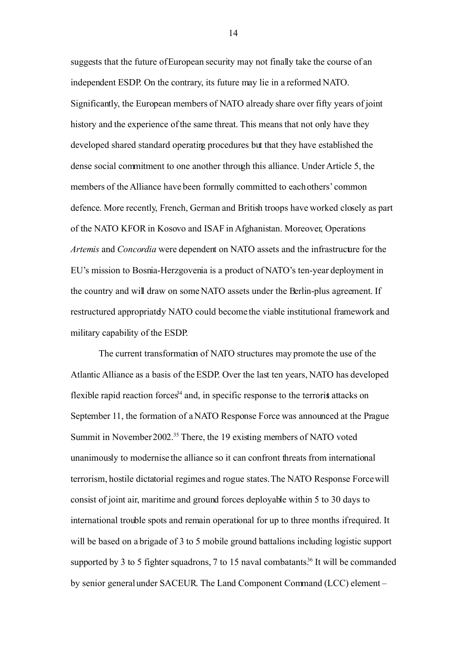suggests that the future of European security may not finally take the course of an independent ESDP. On the contrary, its future may lie in a reformed NATO. Significantly, the European members of NATO already share over fifty years of joint history and the experience of the same threat. This means that not only have they developed shared standard operating procedures but that they have established the dense social commitment to one another through this alliance. Under Article 5, the members of the Alliance have been formally committed to each others' common defence. More recently, French, German and British troops have worked closely as part of the NATO KFOR in Kosovo and ISAF in Afghanistan. Moreover, Operations *Artemis* and *Concordia* were dependent on NATO assets and the infrastructure for the EU's mission to Bosnia-Herzgovenia is a product of NATO's ten-year deployment in the country and will draw on some NATO assets under the Berlin-plus agreement. If restructured appropriately NATO could become the viable institutional framework and military capability of the ESDP.

The current transformation of NATO structures may promote the use of the Atlantic Alliance as a basis of the ESDP. Over the last ten years, NATO has developed flexible rapid reaction forces<sup>[34](#page-26-5)</sup> and, in specific response to the terrorist attacks on September 11, the formation of a NATO Response Force was announced at the Prague Summit in November 2002.<sup>[35](#page-27-0)</sup> There, the 19 existing members of NATO voted unanimously to modernise the alliance so it can confront threats from international terrorism, hostile dictatorial regimes and rogue states. The NATO Response Force will consist of joint air, maritime and ground forces deployable within 5 to 30 days to international trouble spots and remain operational for up to three months if required. It will be based on a brigade of 3 to 5 mobile ground battalions including logistic support supported by 3 to 5 fighter squadrons, 7 to 15 naval combatants.<sup>[36](#page-27-1)</sup> It will be commanded by senior general under SACEUR. The Land Component Command (LCC) element –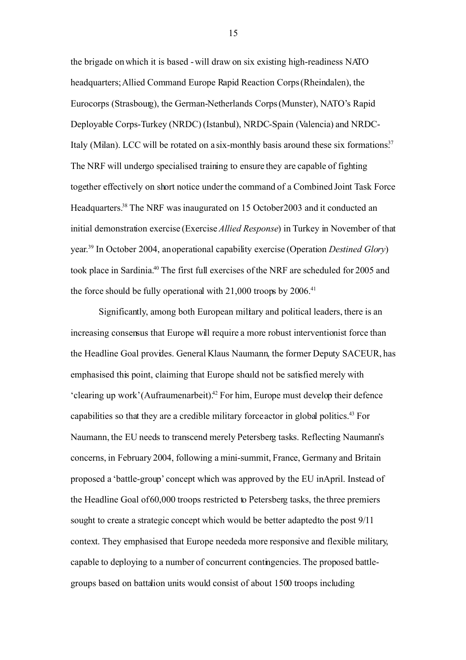the brigade on which it is based - will draw on six existing high-readiness NATO headquarters; Allied Command Europe Rapid Reaction Corps (Rheindalen), the Eurocorps (Strasbourg), the German-Netherlands Corps (Munster), NATO's Rapid Deployable Corps-Turkey (NRDC) (Istanbul), NRDC-Spain (Valencia) and NRDC-Italy (Milan). LCC will be rotated on a six-monthly basis around these six formations.<sup>[37](#page-27-2)</sup> The NRF will undergo specialised training to ensure they are capable of fighting together effectively on short notice under the command of a Combined Joint Task Force Headquarters.<sup>[38](#page-27-3)</sup> The NRF was inaugurated on 15 October 2003 and it conducted an initial demonstration exercise (Exercise *Allied Response*) in Turkey in November of that year. [39](#page-27-4) In October 2004, an operational capability exercise (Operation *Destined Glory*) took place in Sardinia.[40](#page-27-5) The first full exercises of the NRF are scheduled for 2005 and the force should be fully operational with  $21,000$  troops by  $2006<sup>41</sup>$  $2006<sup>41</sup>$  $2006<sup>41</sup>$ 

Significantly, among both European military and political leaders, there is an increasing consensus that Europe will require a more robust interventionist force than the Headline Goal provides. General Klaus Naumann, the former Deputy SACEUR, has emphasised this point, claiming that Europe should not be satisfied merely with  $c$ learing up work' (Aufraumenarbeit).<sup>[42](#page-27-7)</sup> For him, Europe must develop their defence capabilities so that they are a credible military force actor in global politics.[43](#page-27-8) For Naumann, the EU needs to transcend merely Petersberg tasks. Reflecting Naumann's concerns, in February 2004, following a mini-summit, France, Germany and Britain proposed a 'battle-group' concept which was approved by the EU in April. Instead of the Headline Goal of 60,000 troops restricted to Petersberg tasks, the three premiers sought to create a strategic concept which would be better adapted to the post  $9/11$ context. They emphasised that Europe needed a more responsive and flexible military, capable to deploying to a number of concurrent contingencies. The proposed battlegroups based on battalion units would consist of about 1500 troops including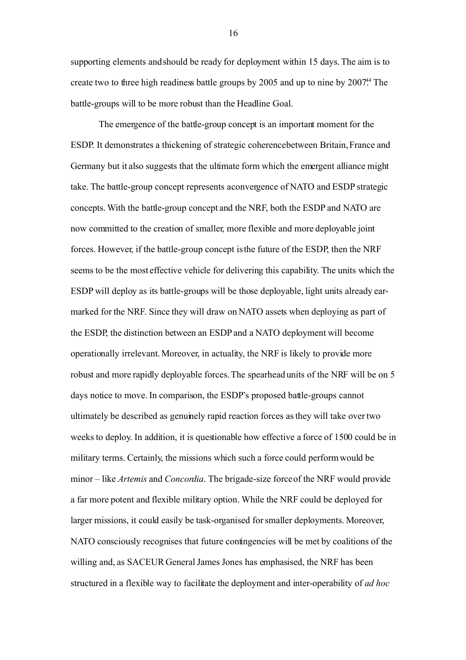supporting elements and should be ready for deployment within 15 days. The aim is to create two to three high readiness battle groups by  $2005$  and up to nine by  $2007^{44}$ . The battle-groups will to be more robust than the Headline Goal.

The emergence of the battle-group concept is an important moment for the ESDP. It demonstrates a thickening of strategic coherence between Britain, France and Germany but it also suggests that the ultimate form which the emergent alliance might take. The battle-group concept represents a convergence of NATO and ESDP strategic concepts. With the battle-group concept and the NRF, both the ESDP and NATO are now committed to the creation of smaller, more flexible and more deployable joint forces. However, if the battle-group concept isthe future of the ESDP, then the NRF seems to be the most effective vehicle for delivering this capability. The units which the ESDP will deploy as its battle-groups will be those deployable, light units already earmarked for the NRF. Since they will draw on NATO assets when deploying as part of the ESDP, the distinction between an ESDPand a NATO deployment will become operationally irrelevant. Moreover, in actuality, the NRF is likely to provide more robust and more rapidly deployable forces.The spearhead units of the NRF will be on 5 days notice to move. In comparison, the ESDP's proposed battle-groups cannot ultimately be described as genuinely rapid reaction forces as they will take over two weeks to deploy. In addition, it is questionable how effective a force of 1500 could be in military terms. Certainly, the missions which such a force could perform would be minor – like *Artemis* and *Concordia*. The brigade-size force of the NRF would provide a far more potent and flexible military option. While the NRF could be deployed for larger missions, it could easily be task-organised for smaller deployments. Moreover, NATO consciously recognises that future contingencies will be met by coalitions of the willing and, as SACEUR General James Jones has emphasised, the NRF has been structured in a flexible way to facilitate the deployment and inter-operability of *ad hoc*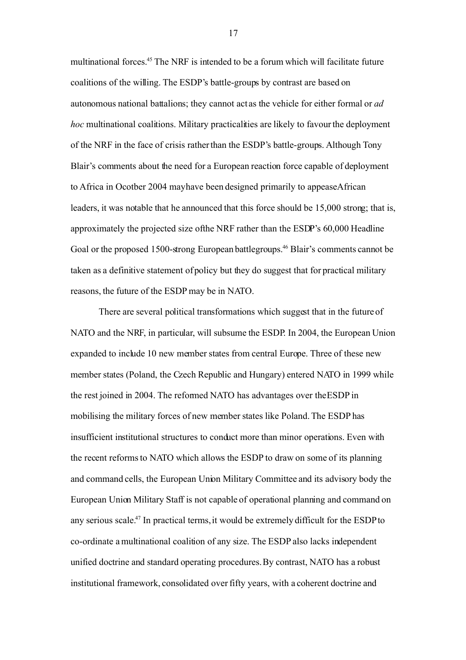multinational forces.[45](#page-27-10) The NRF is intended to be a forum which will facilitate future coalitions of the willing. The ESDP's battle-groups by contrast are based on autonomous national battalions; they cannot act as the vehicle for either formal or *ad hoc* multinational coalitions. Military practicalities are likely to favour the deployment of the NRF in the face of crisis rather than the ESDP's battle-groups. Although Tony Blair's comments about the need for a European reaction force capable of deployment to Africa in Ocotber 2004 may have been designed primarily to appease African leaders, it was notable that he announced that this force should be 15,000 strong; that is, approximately the projected size of the NRF rather than the ESDP's 60,000 Headline Goal or the proposed 1500-strong European battlegroups.<sup>[46](#page-28-0)</sup> Blair's comments cannot be taken as a definitive statement of policy but they do suggest that for practical military reasons, the future of the ESDP may be in NATO.

There are several political transformations which suggest that in the future of NATO and the NRF, in particular, will subsume the ESDP. In 2004, the European Union expanded to include 10 new member states from central Europe. Three of these new member states (Poland, the Czech Republic and Hungary) entered NATO in 1999 while the rest joined in 2004. The reformed NATO has advantages over the ESDP in mobilising the military forces of new member states like Poland. The ESDP has insufficient institutional structures to conduct more than minor operations. Even with the recent reforms to NATO which allows the ESDP to draw on some of its planning and command cells, the European Union Military Committee and its advisory body the European Union Military Staff is not capable of operational planning and command on any serious scale.[47](#page-28-1) In practical terms, it would be extremely difficult for the ESDPto co-ordinate a multinational coalition of any size. The ESDP also lacks independent unified doctrine and standard operating procedures. By contrast, NATO has a robust institutional framework, consolidated over fifty years, with a coherent doctrine and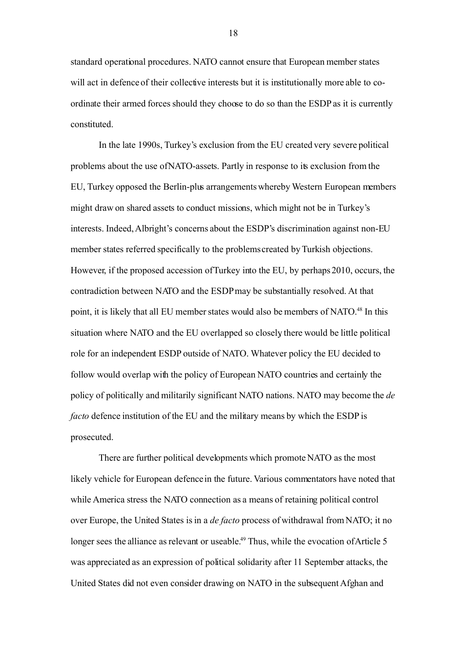standard operational procedures. NATO cannot ensure that European member states will act in defence of their collective interests but it is institutionally more able to coordinate their armed forces should they choose to do so than the ESDP as it is currently constituted.

In the late 1990s, Turkey's exclusion from the EU created very severe political problems about the use of NATO-assets. Partly in response to its exclusion from the EU, Turkey opposed the Berlin-plus arrangements whereby Western European members might draw on shared assets to conduct missions, which might not be in Turkey's interests. Indeed, Albright's concerns about the ESDP's discrimination against non-EU member states referred specifically to the problems created by Turkish objections. However, if the proposed accession of Turkey into the EU, by perhaps 2010, occurs, the contradiction between NATO and the ESDPmay be substantially resolved. At that point, it is likely that all EU member states would also be members of NATO.<sup>[48](#page-28-2)</sup> In this situation where NATO and the EU overlapped so closely there would be little political role for an independent ESDP outside of NATO. Whatever policy the EU decided to follow would overlap with the policy of European NATO countries and certainly the policy of politically and militarily significant NATO nations. NATO may become the *de facto* defence institution of the EU and the military means by which the ESDP is prosecuted.

There are further political developments which promote NATO as the most likely vehicle for European defence in the future. Various commentators have noted that while America stress the NATO connection as a means of retaining political control over Europe, the United States isin a *de facto* process of withdrawal from NATO; it no longer sees the alliance as relevant or useable.<sup>[49](#page-28-3)</sup> Thus, while the evocation of Article 5 was appreciated as an expression of political solidarity after 11 September attacks, the United States did not even consider drawing on NATO in the subsequent Afghan and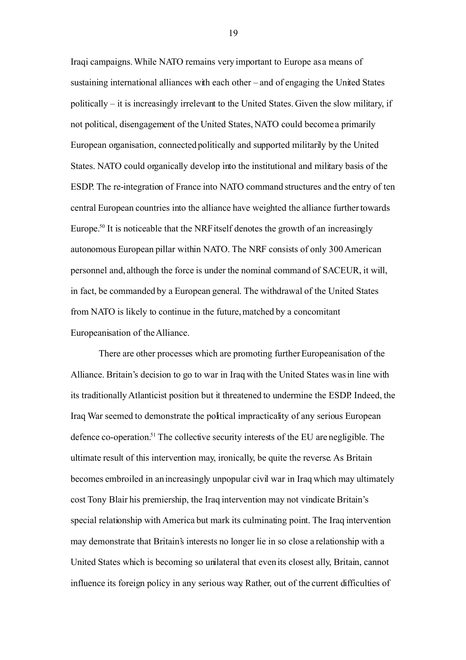Iraqi campaigns. While NATO remains very important to Europe as a means of sustaining international alliances with each other – and of engaging the United States politically – it is increasingly irrelevant to the United States. Given the slow military, if not political, disengagement of the United States, NATO could become a primarily European organisation, connected politically and supported militarily by the United States. NATO could organically develop into the institutional and military basis of the ESDP. The re-integration of France into NATO command structures and the entry of ten central European countries into the alliance have weighted the alliance further towards Europe.<sup>[50](#page-28-4)</sup> It is noticeable that the NRF itself denotes the growth of an increasingly autonomous European pillar within NATO. The NRF consists of only 300 American personnel and, although the force is under the nominal command of SACEUR, it will, in fact, be commanded by a European general. The withdrawal of the United States from NATO is likely to continue in the future, matched by a concomitant Europeanisation of the Alliance.

There are other processes which are promoting further Europeanisation of the Alliance. Britain's decision to go to war in Iraq with the United States was in line with its traditionally Atlanticist position but it threatened to undermine the ESDP. Indeed, the Iraq War seemed to demonstrate the political impracticality of any serious European defence co-operation.<sup>[51](#page-28-5)</sup> The collective security interests of the EU are negligible. The ultimate result of this intervention may, ironically, be quite the reverse. As Britain becomes embroiled in an increasingly unpopular civil war in Iraq which may ultimately cost Tony Blair his premiership, the Iraq intervention may not vindicate Britain's special relationship with America but mark its culminating point. The Iraq intervention may demonstrate that Britain's interests no longer lie in so close a relationship with a United States which is becoming so unilateral that even its closest ally, Britain, cannot influence its foreign policy in any serious way. Rather, out of the current difficulties of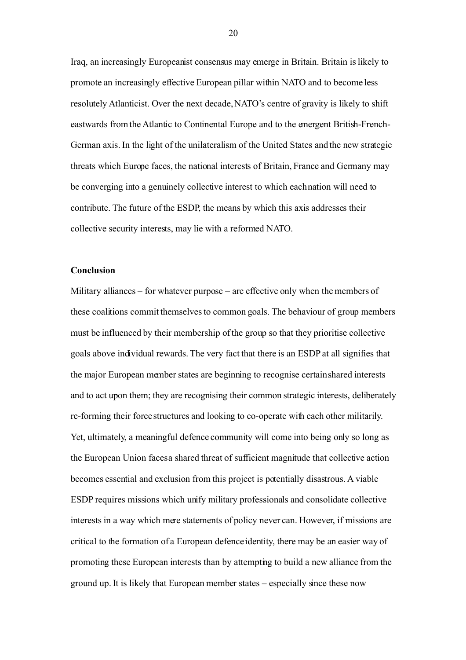Iraq, an increasingly Europeanist consensus may emerge in Britain. Britain islikely to promote an increasingly effective European pillar within NATO and to become less resolutely Atlanticist. Over the next decade, NATO's centre of gravity is likely to shift eastwards from the Atlantic to Continental Europe and to the emergent British-French-German axis. In the light of the unilateralism of the United States and the new strategic threats which Europe faces, the national interests of Britain, France and Germany may be converging into a genuinely collective interest to which each nation will need to contribute. The future of the ESDP, the means by which this axis addresses their collective security interests, may lie with a reformed NATO.

## **Conclusion**

Military alliances – for whatever purpose – are effective only when the members of these coalitions commit themselves to common goals. The behaviour of group members must be influenced by their membership of the group so that they prioritise collective goals above individual rewards. The very fact that there is an ESDPat all signifies that the major European member states are beginning to recognise certain shared interests and to act upon them; they are recognising their common strategic interests, deliberately re-forming their force structures and looking to co-operate with each other militarily. Yet, ultimately, a meaningful defence community will come into being only so long as the European Union facesa shared threat of sufficient magnitude that collective action becomes essential and exclusion from this project is potentially disastrous. A viable ESDP requires missions which unify military professionals and consolidate collective interests in a way which mere statements of policy never can. However, if missions are critical to the formation of a European defence identity, there may be an easier way of promoting these European interests than by attempting to build a new alliance from the ground up. It is likely that European member states – especially since these now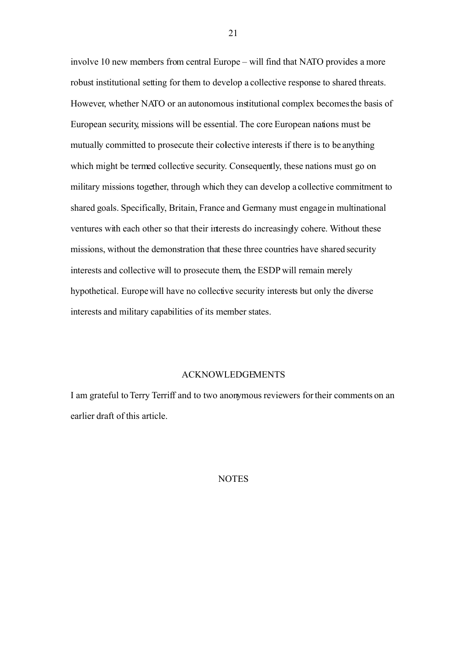involve 10 new members from central Europe – will find that NATO provides a more robust institutional setting for them to develop a collective response to shared threats. However, whether NATO or an autonomous institutional complex becomes the basis of European security, missions will be essential. The core European nations must be mutually committed to prosecute their colective interests if there is to be anything which might be termed collective security. Consequently, these nations must go on military missions together, through which they can develop a collective commitment to shared goals. Specifically, Britain, France and Germany must engage in multinational ventures with each other so that their interests do increasingly cohere. Without these missions, without the demonstration that these three countries have shared security interests and collective will to prosecute them, the ESDP will remain merely hypothetical. Europe will have no collective security interests but only the diverse interests and military capabilities of its member states.

## ACKNOWLEDGEMENTS

I am grateful to Terry Terriff and to two anonymous reviewers for their comments on an earlier draft of this article.

## NOTES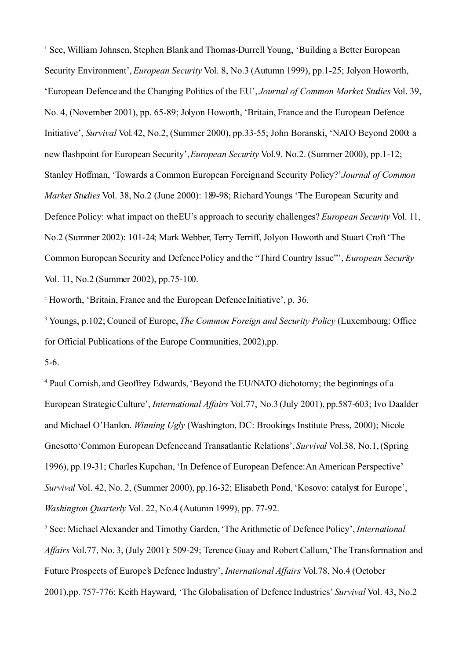<span id="page-21-0"></span><sup>1</sup> See, William Johnsen, Stephen Blank and Thomas-Durrell Young, 'Building a Better European Security Environment', *European Security* Vol. 8, No.3 (Autumn 1999), pp.1-25; Jolyon Howorth, 'European Defence and the Changing Politics of the EU', *Journal of Common Market Studies* Vol. 39, No. 4, (November 2001), pp. 65-89; Jolyon Howorth, 'Britain, France and the European Defence Initiative', *Survival* Vol*.*42, No.2, (Summer 2000), pp.33-55; John Boranski, 'NATO Beyond 2000: a new flashpoint for European Security', *European Security* Vol.9. No.2. (Summer 2000), pp.1-12; Stanley Hoffman, 'Towards a Common European Foreign and Security Policy?'*Journal of Common Market Studies* Vol. 38, No.2 (June 2000): 189-98; Richard Youngs 'The European Security and Defence Policy: what impact on the EU's approach to security challenges? *European Security* Vol. 11, No.2 (Summer 2002): 101-24; Mark Webber, Terry Terriff, Jolyon Howorth and Stuart Croft 'The Common European Security and Defence Policy and the "Third Country Issue"', *European Security* Vol. 11, No.2 (Summer 2002), pp.75-100.

<span id="page-21-1"></span><sup>2</sup> Howorth, 'Britain, France and the European Defence Initiative', p. 36.

<span id="page-21-2"></span><sup>3</sup> Youngs, p.102; Council of Europe, *The Common Foreign and Security Policy* (Luxembourg: Office for Official Publications of the Europe Communities, 2002),pp.

5-6.

<span id="page-21-3"></span><sup>4</sup> Paul Cornish, and Geoffrey Edwards, 'Beyond the EU/NATO dichotomy; the beginnings of a European Strategic Culture', *International Affairs* Vol.77, No.3 (July 2001), pp.587-603; Ivo Daalder and Michael O'Hanlon. *Winning Ugly* (Washington, DC: Brookings Institute Press, 2000); Nicole Gnesotto'Common European Defence and Transatlantic Relations', *Survival* Vol.38, No.1, (Spring 1996), pp.19-31; Charles Kupchan, 'In Defence of European Defence: An American Perspective' *Survival* Vol. 42, No. 2, (Summer 2000), pp.16-32; Elisabeth Pond, 'Kosovo: catalyst for Europe', *Washington Quarterly* Vol. 22, No.4 (Autumn 1999), pp. 77-92.

<span id="page-21-4"></span><sup>5</sup> See: Michael Alexander and Timothy Garden, 'The Arithmetic of Defence Policy', *International Affairs* Vol.77, No. 3, (July 2001): 509-29; Terence Guay and Robert Callum,'The Transformation and Future Prospects of Europe's Defence Industry', *International Affairs* Vol.78, No.4 (October 2001),pp. 757-776; Keith Hayward, 'The Globalisation of Defence Industries' *Survival* Vol. 43, No.2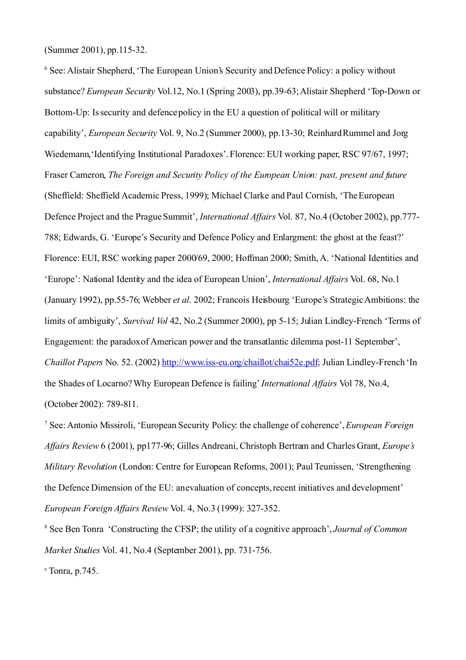(Summer 2001), pp.115-32.

<span id="page-22-0"></span><sup>6</sup> See: Alistair Shepherd, 'The European Union's Security and Defence Policy: a policy without substance? *European Security* Vol.12, No.1 (Spring 2003), pp.39-63; Alistair Shepherd 'Top-Down or Bottom-Up: Is security and defence policy in the EU a question of political will or military capability', *European Security* Vol. 9, No.2 (Summer 2000), pp.13-30; Reinhard Rummel and Jorg Wiedemann,'Identifying Institutional Paradoxes'. Florence: EUI working paper, RSC 97/67, 1997; Fraser Cameron, *The Foreign and Security Policy of the European Union: past, present and future* (Sheffield: Sheffield Academic Press, 1999); Michael Clarke and Paul Cornish, 'The European Defence Project and the Prague Summit', *International Affairs* Vol. 87, No.4 (October 2002), pp.777- 788; Edwards, G. 'Europe's Security and Defence Policy and Enlargment: the ghost at the feast?' Florence: EUI, RSC working paper 2000/69, 2000; Hoffman 2000; Smith, A. 'National Identities and 'Europe': National Identity and the idea of European Union', *International Affairs* Vol. 68, No.1 (January 1992), pp.55-76; Webber *et al*. 2002; Francois Heisbourg 'Europe's Strategic Ambitions: the limits of ambiguity', *Survival Vol* 42, No.2 (Summer 2000), pp 5-15; Julian Lindley-French 'Terms of Engagement: the paradox of American power and the transatlantic dilemma post-11 September', *Chaillot Papers* No. 52. (2002) [http://www.iss-eu.org/chaillot/chai52e.pdf;](http://www.iss-eu.org/chaillot/chai52e.pdf) Julian Lindley-French 'In the Shades of Locarno? Why European Defence is failing'*International Affairs* Vol 78, No.4, (October 2002): 789-811.

<span id="page-22-1"></span><sup>7</sup> See: Antonio Missiroli, 'European Security Policy: the challenge of coherence',*European Foreign Affairs Review* 6 (2001), pp177-96; Gilles Andreani, Christoph Bertram and Charles Grant, *Europe's Military Revolution* (London: Centre for European Reforms, 2001); Paul Teunissen, 'Strengthening the Defence Dimension of the EU: anevaluation of concepts, recent initiatives and development' *European Foreign Affairs Review* Vol. 4, No.3 (1999): 327-352.

<span id="page-22-2"></span><sup>8</sup> See Ben Tonra 'Constructing the CFSP; the utility of a cognitive approach', *Journal of Common Market Studies* Vol. 41, No.4 (September 2001), pp. 731-756.

<span id="page-22-3"></span><sup>9</sup> Tonra, p.745.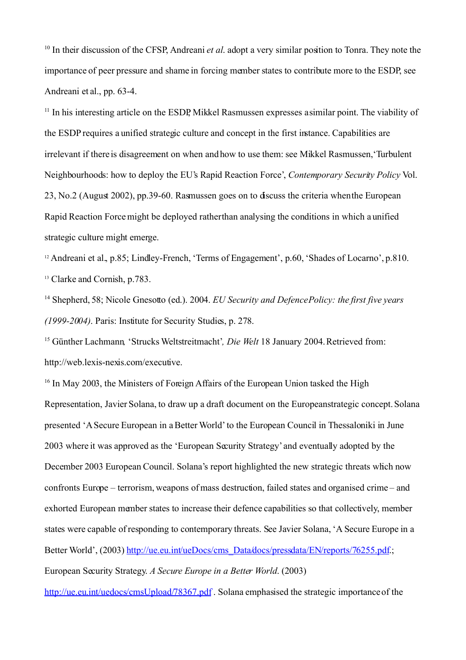<span id="page-23-0"></span><sup>10</sup> In their discussion of the CFSP, Andreani *et al.* adopt a very similar position to Tonra. They note the importance of peer pressure and shame in forcing member states to contribute more to the ESDP, see Andreani et al., pp. 63-4.

<span id="page-23-1"></span><sup>11</sup> In his interesting article on the ESDP, Mikkel Rasmussen expresses asimilar point. The viability of the ESDP requires a unified strategic culture and concept in the first instance. Capabilities are irrelevant if there is disagreement on when and how to use them: see Mikkel Rasmussen,'Turbulent Neighbourhoods: how to deploy the EU's Rapid Reaction Force', *Contemporary Security Policy* Vol. 23, No.2 (August 2002), pp.39-60. Rasmussen goes on to discuss the criteria when the European Rapid Reaction Force might be deployed rather than analysing the conditions in which a unified strategic culture might emerge.

<span id="page-23-3"></span><span id="page-23-2"></span><sup>12</sup> Andreani et al., p.85; Lindley-French, 'Terms of Engagement', p.60, 'Shades of Locarno', p.810. <sup>13</sup> Clarke and Cornish, p.783.

<span id="page-23-4"></span><sup>14</sup> Shepherd, 58; Nicole Gnesotto (ed.). 2004. *EU Security and Defence Policy: the first five years (1999-2004)*. Paris: Institute for Security Studies, p. 278.

<span id="page-23-5"></span><sup>15</sup> Günther Lachmann*,* 'Strucks Weltstreitmacht'*, Die Welt* 18 January 2004. Retrieved from: http://web.lexis-nexis.com/executive.

<span id="page-23-6"></span><sup>16</sup> In May 2003, the Ministers of Foreign Affairs of the European Union tasked the High Representation, Javier Solana, to draw up a draft document on the European strategic concept. Solana presented 'A Secure European in a Better World'to the European Council in Thessaloniki in June 2003 where it was approved as the 'European Security Strategy' and eventually adopted by the December 2003 European Council. Solana's report highlighted the new strategic threats which now confronts Europe – terrorism, weapons of mass destruction, failed states and organised crime – and exhorted European member states to increase their defence capabilities so that collectively, member states were capable of responding to contemporary threats. See Javier Solana, 'A Secure Europe in a Better World', (2003) [http://ue.eu.int/ueDocs/cms\\_Data/docs/pressdata/EN/reports/76255.pdf.](http://ue.eu.int/ueDocs/cms_Data/docs/pressdata/EN/reports/76255.pdf); European Security Strategy. *A Secure Europe in a Better World*. (2003)

http://ue.eu.int/uedocs/cmsUpload/78367.pdf. Solana emphasised the strategic importance of the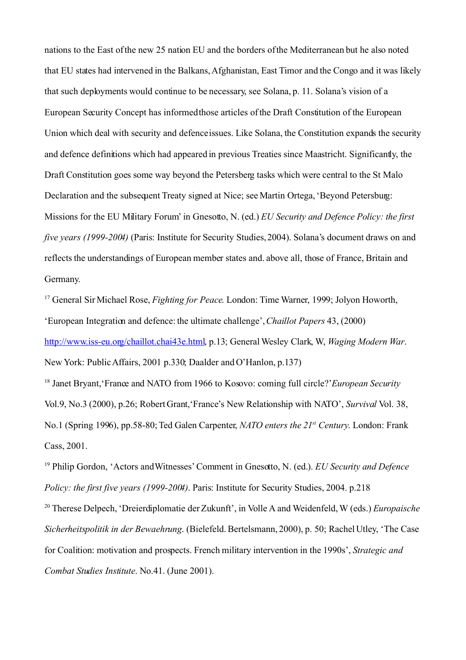nations to the East of the new 25 nation EU and the borders of the Mediterranean but he also noted that EU states had intervened in the Balkans, Afghanistan, East Timor and the Congo and it was likely that such deployments would continue to be necessary, see Solana, p. 11. Solana's vision of a European Security Concept has informed those articles of the Draft Constitution of the European Union which deal with security and defence issues. Like Solana, the Constitution expands the security and defence definitions which had appeared in previous Treaties since Maastricht. Significantly, the Draft Constitution goes some way beyond the Petersberg tasks which were central to the St Malo Declaration and the subsequent Treaty signed at Nice; see Martin Ortega, 'Beyond Petersburg: Missions for the EU Military Forum' in Gnesotto, N. (ed.) *EU Security and Defence Policy: the first five years (1999-2004)* (Paris: Institute for Security Studies, 2004). Solana's document draws on and reflects the understandings of European member states and. above all, those of France, Britain and Germany.

<span id="page-24-0"></span><sup>17</sup> General Sir Michael Rose, *Fighting for Peace*. London: Time Warner, 1999; Jolyon Howorth, 'European Integration and defence: the ultimate challenge', *Chaillot Papers* 43, (2000) [http://www.iss-eu.org/chaillot.chai43e.html,](http://www.iss-eu.org/chaillot.chai43e.html) p.13; General Wesley Clark, W, *Waging Modern War*. New York: Public Affairs, 2001 p.330; Daalder and O'Hanlon, p.137)

<span id="page-24-1"></span><sup>18</sup> Janet Brvant, 'France and NATO from 1966 to Kosovo: coming full circle?' *European Security* Vol.9, No.3 (2000), p.26; Robert Grant,'France's New Relationship with NATO', *Survival* Vol. 38, No.1 (Spring 1996), pp.58-80; Ted Galen Carpenter, *NATO enters the 21 st Century*. London: Frank Cass, 2001.

<span id="page-24-2"></span><sup>19</sup> Philip Gordon, 'Actors and Witnesses'Comment in Gnesotto, N. (ed.). *EU Security and Defence Policy: the first five years (1999-2004)*. Paris: Institute for Security Studies, 2004. p.218

<span id="page-24-3"></span><sup>20</sup> Therese Delpech, 'Dreierdiplomatie der Zukunft', in Volle A and Weidenfeld, W (eds.) *Europaische Sicherheitspolitik in der Bewaehrung*. (Bielefeld. Bertelsmann, 2000), p. 50; Rachel Utley, 'The Case for Coalition: motivation and prospects. French military intervention in the 1990s', *Strategic and Combat Studies Institute*. No.41. (June 2001).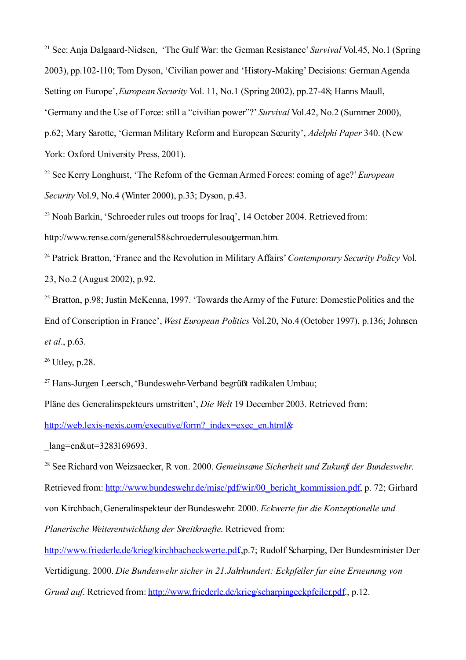<span id="page-25-0"></span><sup>21</sup> See: Ania Dalgaard-Nielsen, 'The Gulf War: the German Resistance' *Survival* Vol. 45, No. 1 (Spring 2003), pp.102-110; Tom Dyson, 'Civilian power and 'History-Making' Decisions: German Agenda Setting on Europe', *European Security* Vol. 11, No.1 (Spring 2002), pp.27-48; Hanns Maull, 'Germany and the Use of Force: still a "civilian power"?' *Survival* Vol.42, No.2 (Summer 2000), p.62; Mary Sarotte, 'German Military Reform and European Security', *Adelphi Paper* 340. (New York: Oxford University Press, 2001).

<span id="page-25-1"></span><sup>22</sup> See Kerry Longhurst, 'The Reform of the German Armed Forces: coming of age?'*European Security* Vol.9, No.4 (Winter 2000), p.33; Dyson, p.43.

<span id="page-25-2"></span><sup>23</sup> Noah Barkin, 'Schroeder rules out troops for Iraq', 14 October 2004. Retrieved from: http://www.rense.com/general58/schroederrulesoutgerman.htm.

<span id="page-25-3"></span><sup>24</sup> Patrick Bratton, 'France and the Revolution in Military Affairs'*Contemporary Security Policy* Vol. 23, No.2 (August 2002), p.92.

<span id="page-25-4"></span><sup>25</sup> Bratton, p.98; Justin McKenna, 1997. 'Towards the Army of the Future: Domestic Politics and the End of Conscription in France', *West European Politics* Vol.20, No.4 (October 1997), p.136; Johnsen *et al*., p.63.

<span id="page-25-5"></span> $26$  Utley, p.28.

<span id="page-25-6"></span><sup>27</sup> Hans-Jurgen Leersch, 'Bundeswehr-Verband begrüßt radikalen Umbau;

Pläne des Generalinspekteurs umstritten', *Die Welt* 19 December 2003. Retrieved from:

[http://web.lexis-nexis.com/executive/form?\\_index=exec\\_en.html&](http://web.lexis-nexis.com/executive/form?_index=exec_en.html&)

lang=en&ut=3283169693.

<span id="page-25-7"></span><sup>28</sup> See Richard von Weizsaecker, R von. 2000. *Gemeinsame Sicherheit und Zukunft der Bundeswehr*. Retrieved from: [http://www.bundeswehr.de/misc/pdf/wir/00\\_bericht\\_kommission.pdf,](http://www.bundeswehr.de/misc/pdf/wir/00_bericht_kommission.pdf) p. 72; Girhard von Kirchbach, Generalinspekteur der Bundeswehr. 2000. *Eckwerte fur die Konzeptionelle und Planerische Weiterentwicklung der Streitkraefte*. Retrieved from:

[http://www.friederle.de/krieg/kirchbacheckwerte.pdf.](http://www.friederle.de/krieg/kirchbacheckwerte.pdf),p.7; Rudolf Scharping, Der Bundesminister Der Vertidigung. 2000. *Die Bundeswehr sicher in 21.Jahrhundert: Eckpfeiler fur eine Erneurung von Grund auf.* Retrieved from: [http://www.friederle.de/krieg/scharpingeckpfeiler.pdf.](http://www.friederle.de/krieg/scharpingeckpfeiler.pdf), p.12.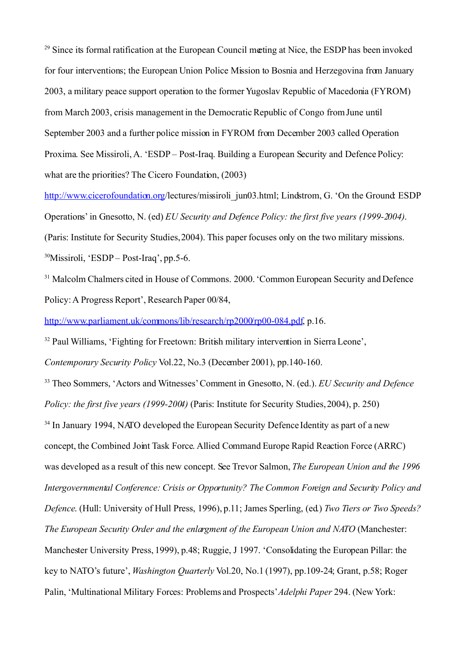<span id="page-26-0"></span><sup>29</sup> Since its formal ratification at the European Council meeting at Nice, the ESDP has been invoked for four interventions; the European Union Police Mission to Bosnia and Herzegovina from January 2003, a military peace support operation to the former Yugoslav Republic of Macedonia (FYROM) from March 2003, crisis management in the Democratic Republic of Congo from June until September 2003 and a further police mission in FYROM from December 2003 called Operation Proxima. See Missiroli, A. 'ESDP – Post-Iraq. Building a European Security and Defence Policy: what are the priorities? The Cicero Foundation, (2003)

<http://www.cicerofoundation.org/>lectures/missiroli\_jun03.html; Lindstrom, G. 'On the Ground: ESDP Operations' in Gnesotto, N. (ed) *EU Security and Defence Policy: the first five years (1999-2004)*. (Paris: Institute for Security Studies, 2004). This paper focuses only on the two military missions. <sup>30</sup>Missiroli, 'ESDP – Post-Iraq', pp.5-6.

<span id="page-26-2"></span><span id="page-26-1"></span><sup>31</sup> Malcolm Chalmers cited in House of Commons. 2000. 'Common European Security and Defence Policy: A Progress Report', Research Paper 00/84,

[http://www.parliament.uk/commons/lib/research/rp2000/rp00-084.pdf,](http://www.parliament.uk/commons/lib/research/rp2000/rp00-084.pdf) p.16.

<span id="page-26-3"></span><sup>32</sup> Paul Williams, 'Fighting for Freetown: British military intervention in Sierra Leone',

*Contemporary Security Policy* Vol.22, No.3 (December 2001), pp.140-160.

<span id="page-26-4"></span><sup>33</sup> Theo Sommers, 'Actors and Witnesses' Comment in Gnesotto, N. (ed.). *EU Security and Defence Policy: the first five years (1999-2004)* (Paris: Institute for Security Studies, 2004), p. 250)

<span id="page-26-5"></span> $34$  In January 1994, NATO developed the European Security Defence Identity as part of a new concept, the Combined Joint Task Force. Allied Command Europe Rapid Reaction Force (ARRC) was developed as a result of this new concept. See Trevor Salmon, *The European Union and the 1996 Intergovernmental Conference: Crisis or Opportunity? The Common Foreign and Security Policy and Defence*. (Hull: University of Hull Press, 1996), p.11; James Sperling, (ed.) *Two Tiers or Two Speeds? The European Security Order and the enlargment of the European Union and NATO* (Manchester: Manchester University Press, 1999), p.48; Ruggie, J 1997. 'Consolidating the European Pillar: the key to NATO's future', *Washington Quarterly* Vol.20, No.1 (1997), pp.109-24; Grant, p.58; Roger Palin, 'Multinational Military Forces: Problems and Prospects'*Adelphi Paper* 294. (New York: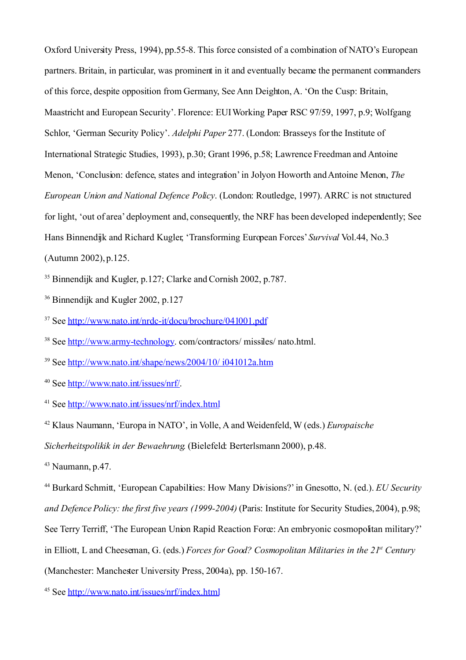Oxford University Press, 1994), pp.55-8. This force consisted of a combination of NATO's European partners. Britain, in particular, was prominent in it and eventually became the permanent commanders of this force, despite opposition from Germany, See Ann Deighton, A. 'On the Cusp: Britain, Maastricht and European Security'. Florence: EUI Working Paper RSC 97/59, 1997, p.9; Wolfgang Schlor, 'German Security Policy'. *Adelphi Paper* 277. (London: Brasseys for the Institute of International Strategic Studies, 1993), p.30; Grant 1996, p.58; Lawrence Freedman and Antoine Menon, 'Conclusion: defence, states and integration' in Jolyon Howorth and Antoine Menon, *The European Union and National Defence Policy*. (London: Routledge, 1997). ARRC is not structured for light, 'out of area' deployment and, consequently, the NRF has been developed independently; See Hans Binnendijk and Richard Kugler, 'Transforming European Forces'*Survival* Vol.44, No.3 (Autumn 2002), p.125.

<span id="page-27-0"></span><sup>35</sup> Binnendijk and Kugler, p.127; Clarke and Cornish 2002, p.787.

<span id="page-27-1"></span><sup>36</sup> Binnendijk and Kugler 2002, p.127

<span id="page-27-2"></span><sup>37</sup> See<http://www.nato.int/nrdc-it/docu/brochure/041001.pdf>

<span id="page-27-3"></span><sup>38</sup> See [http://www.army-technology.](http://www.army-technology/) com/contractors/ missiles/ nato.html.

<span id="page-27-4"></span><sup>39</sup> See<http://www.nato.int/shape/news/2004/10/ i041012a.htm>

<span id="page-27-5"></span><sup>40</sup> See [http://www.nato.int/issues/nrf/.](http://www.nato.int/issues/nrf/)

<span id="page-27-6"></span><sup>41</sup> See<http://www.nato.int/issues/nrf/index.html>

<span id="page-27-7"></span><sup>42</sup> Klaus Naumann, 'Europa in NATO', in Volle, A and Weidenfeld, W (eds.) *Europaische*

*Sicherheitspolikik in der Bewaehrung*. (Bielefeld: Berterlsmann 2000), p.48.

<span id="page-27-8"></span> $43$  Naumann, p.47.

<span id="page-27-9"></span><sup>44</sup> Burkard Schmitt, 'European Capabilities: How Many Divisions?'in Gnesotto, N. (ed.). *EU Security and Defence Policy: the first five years (1999-2004)* (Paris: Institute for Security Studies, 2004), p.98; See Terry Terriff, 'The European Union Rapid Reaction Force: An embryonic cosmopolitan military?' in Elliott, L and Cheeseman, G. (eds.) *Forces for Good? Cosmopolitan Militaries in the 21st Century* (Manchester: Manchester University Press, 2004a), pp. 150-167.

<span id="page-27-10"></span><sup>45</sup> See<http://www.nato.int/issues/nrf/index.html>